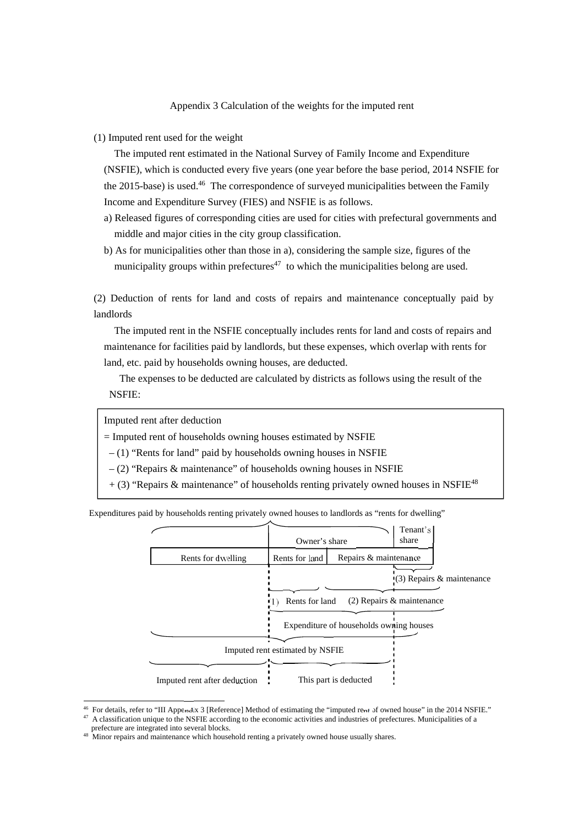#### Appendix 3 Calculation of the weights for the imputed rent

(1) Imputed rent used for the weight

The imputed rent estimated in the National Survey of Family Income and Expenditure (NSFIE), which is conducted every five years (one year before the base period, 2014 NSFIE for the 2015-base) is used.<sup>46</sup> The correspondence of surveyed municipalities between the Family Income and Expenditure Survey (FIES) and NSFIE is as follows.

- a) Released figures of corresponding cities are used for cities with prefectural governments and middle and major cities in the city group classification.
- b) As for municipalities other than those in a), considering the sample size, figures of the municipality groups within prefectures<sup> $47$ </sup> to which the municipalities belong are used.

(2) Deduction of rents for land and costs of repairs and maintenance conceptually paid by landlords

The imputed rent in the NSFIE conceptually includes rents for land and costs of repairs and maintenance for facilities paid by landlords, but these expenses, which overlap with rents for land, etc. paid by households owning houses, are deducted.

The expenses to be deducted are calculated by districts as follows using the result of the NSFIE:

Imputed rent after deduction

 $=$  Imputed rent of households owning houses estimated by NSFIE

 $-$  (1) "Rents for land" paid by households owning houses in NSFIE

– (2) "Repairs & maintenance" of households owning houses in NSFIE

 $+$  (3) "Repairs & maintenance" of households renting privately owned houses in NSFIE<sup>48</sup>

Expenditures paid by households renting privately owned houses to landlords as "rents for dwelling"



-

<sup>&</sup>lt;sup>46</sup> For details, refer to "III Appendix 3 [Reference] Method of estimating the "imputed rent of owned house" in the 2014 NSFIE."<br><sup>47</sup> A classification unique to the NSFIE according to the economic activities and industri

 $\frac{48}{3}$  Minor repairs and maintenance which household renting a privately owned house usually shares.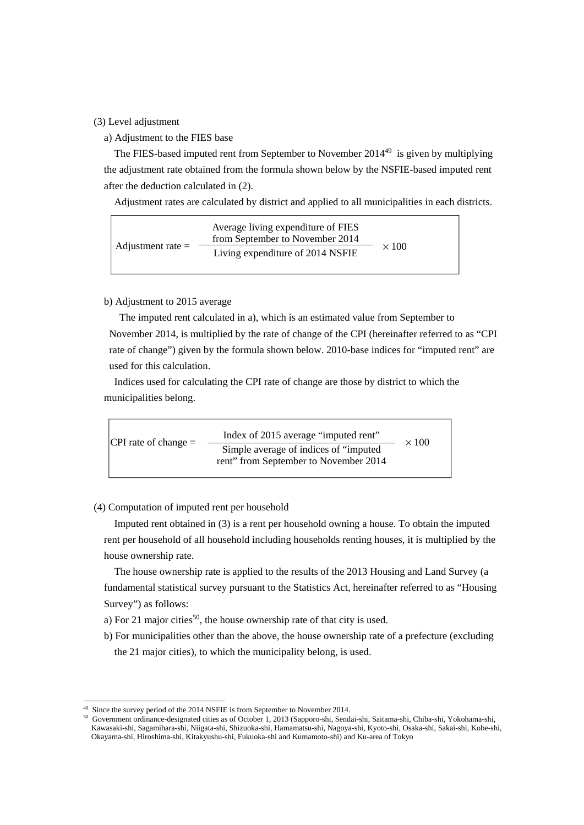#### (3) Level adjustment

a) Adjustment to the FIES base

The FIES-based imputed rent from September to November 2014<sup>49</sup> is given by multiplying the adjustment rate obtained from the formula shown below by the NSFIE-based imputed rent after the deduction calculated in (2).

Adjustment rates are calculated by district and applied to all municipalities in each districts.

|                     | Average living expenditure of FIES<br>from September to November 2014 |              |
|---------------------|-----------------------------------------------------------------------|--------------|
| Adjustment rate $=$ | Living expenditure of 2014 NSFIE                                      | $\times$ 100 |

### b) Adjustment to 2015 average

The imputed rent calculated in a), which is an estimated value from September to November 2014, is multiplied by the rate of change of the CPI (hereinafter referred to as "CPI rate of change") given by the formula shown below. 2010-base indices for "imputed rent" are used for this calculation.

Indices used for calculating the CPI rate of change are those by district to which the municipalities belong.



#### (4) Computation of imputed rent per household

Imputed rent obtained in (3) is a rent per household owning a house. To obtain the imputed rent per household of all household including households renting houses, it is multiplied by the house ownership rate.

The house ownership rate is applied to the results of the 2013 Housing and Land Survey (a fundamental statistical survey pursuant to the Statistics Act, hereinafter referred to as "Housing Survey") as follows:

- a) For 21 major cities<sup>50</sup>, the house ownership rate of that city is used.
- b) For municipalities other than the above, the house ownership rate of a prefecture (excluding the 21 major cities), to which the municipality belong, is used.

-

Since the survey period of the 2014 NSFIE is from September to November 2014.

<sup>50</sup> Government ordinance-designated cities as of October 1, 2013 (Sapporo-shi, Sendai-shi, Saitama-shi, Chiba-shi, Yokohama-shi, Kawasaki-shi, Sagamihara-shi, Niigata-shi, Shizuoka-shi, Hamamatsu-shi, Nagoya-shi, Kyoto-shi, Osaka-shi, Sakai-shi, Kobe-shi, Okayama-shi, Hiroshima-shi, Kitakyushu-shi, Fukuoka-shi and Kumamoto-shi) and Ku-area of Tokyo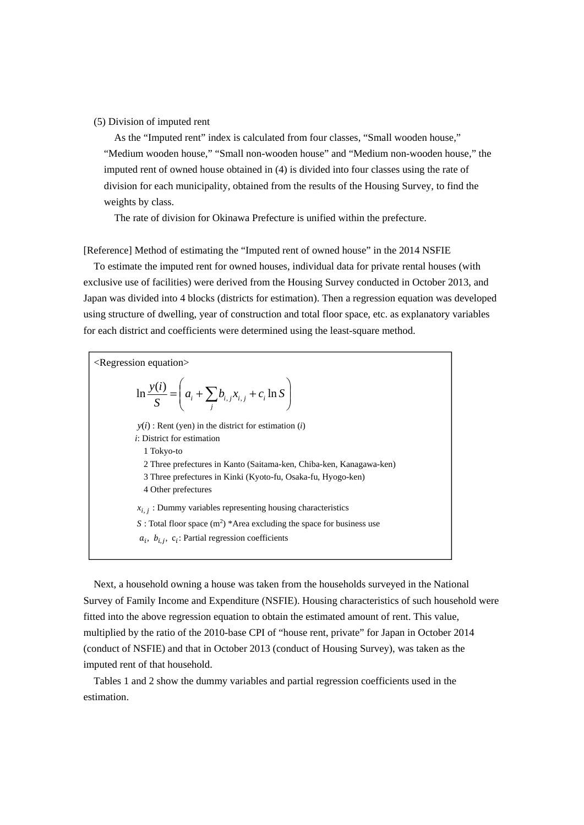#### (5) Division of imputed rent

As the "Imputed rent" index is calculated from four classes, "Small wooden house," "Medium wooden house," "Small non-wooden house" and "Medium non-wooden house," the imputed rent of owned house obtained in (4) is divided into four classes using the rate of division for each municipality, obtained from the results of the Housing Survey, to find the weights by class.

The rate of division for Okinawa Prefecture is unified within the prefecture.

[Reference] Method of estimating the "Imputed rent of owned house" in the 2014 NSFIE

To estimate the imputed rent for owned houses, individual data for private rental houses (with exclusive use of facilities) were derived from the Housing Survey conducted in October 2013, and Japan was divided into 4 blocks (districts for estimation). Then a regression equation was developed using structure of dwelling, year of construction and total floor space, etc. as explanatory variables for each district and coefficients were determined using the least-square method.

| $\leq$ Regression equation $\geq$                                              |
|--------------------------------------------------------------------------------|
| $\ln \frac{y(i)}{S} = \left( a_i + \sum_i b_{i,j} x_{i,j} + c_i \ln S \right)$ |
| $y(i)$ : Rent (yen) in the district for estimation ( <i>i</i> )                |
| <i>i</i> : District for estimation                                             |
| 1 Tokyo-to                                                                     |
| 2 Three prefectures in Kanto (Saitama-ken, Chiba-ken, Kanagawa-ken)            |
| 3 Three prefectures in Kinki (Kyoto-fu, Osaka-fu, Hyogo-ken)                   |
| 4 Other prefectures                                                            |
| $x_{i,j}$ : Dummy variables representing housing characteristics               |
| S: Total floor space $(m^2)$ *Area excluding the space for business use        |
| $a_i$ , $b_{i,i}$ , $c_i$ : Partial regression coefficients                    |

Next, a household owning a house was taken from the households surveyed in the National Survey of Family Income and Expenditure (NSFIE). Housing characteristics of such household were fitted into the above regression equation to obtain the estimated amount of rent. This value, multiplied by the ratio of the 2010-base CPI of "house rent, private" for Japan in October 2014 (conduct of NSFIE) and that in October 2013 (conduct of Housing Survey), was taken as the imputed rent of that household.

Tables 1 and 2 show the dummy variables and partial regression coefficients used in the estimation.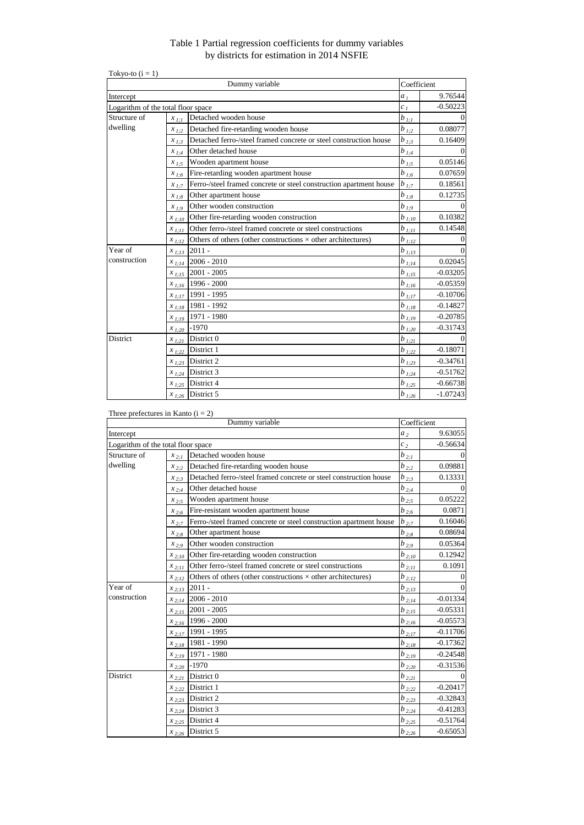## Table 1 Partial regression coefficients for dummy variables by districts for estimation in 2014 NSFIE

| Tokyo-to $(i = 1)$                 |                                    |                                                                     |                        |            |
|------------------------------------|------------------------------------|---------------------------------------------------------------------|------------------------|------------|
|                                    |                                    | Dummy variable                                                      | Coefficient            |            |
| Intercept                          |                                    |                                                                     | a <sub>1</sub>         | 9.76544    |
| Logarithm of the total floor space | c <sub>1</sub>                     | $-0.50223$                                                          |                        |            |
| Structure of                       | Detached wooden house<br>$x_{1:1}$ |                                                                     | $b_{l;l}$              | $\Omega$   |
| dwelling                           | $x_{1:2}$                          | Detached fire-retarding wooden house                                | $b_{1,2}$              | 0.08077    |
|                                    | $x_{1:3}$                          | Detached ferro-/steel framed concrete or steel construction house   | $b_{1,3}$              | 0.16409    |
|                                    | $x_{1:4}$                          | Other detached house                                                | $b_{\:\:l;\:4}$        |            |
|                                    | $x_{1:5}$                          | Wooden apartment house                                              | $b_{1,5}$              | 0.05146    |
|                                    | $x_{1:6}$                          | Fire-retarding wooden apartment house                               | $b_{1,6}$              | 0.07659    |
|                                    | $x_{1:7}$                          | Ferro-/steel framed concrete or steel construction apartment house  | $b_{1,7}$              | 0.18561    |
|                                    | $x_{1:8}$                          | Other apartment house                                               | $b_{\underline{1,8}}$  | 0.12735    |
|                                    | $x_{1:9}$                          | Other wooden construction                                           | $b_{1,9}$              | $\Omega$   |
|                                    | $x_{1:10}$                         | Other fire-retarding wooden construction                            | $b_{1:10}$             | 0.10382    |
|                                    | $x_{1:11}$                         | Other ferro-/steel framed concrete or steel constructions           | $b_{1,11}$             | 0.14548    |
|                                    | $x_{1:12}$                         | Others of others (other constructions $\times$ other architectures) | $b_{1;12}$             | $\Omega$   |
| Year of                            | $x_{1;13}$                         | $2011 -$                                                            | $b_{1,13}$             | $\Omega$   |
| construction                       | $x_{1;14}$                         | $2006 - 2010$                                                       | $b_{1,14}$             | 0.02045    |
|                                    | $x_{1;15}$                         | $2001 - 2005$                                                       | $b_{1;15}$             | $-0.03205$ |
|                                    | $x_{1:16}$                         | 1996 - 2000                                                         | $b_{1;16}$             | $-0.05359$ |
|                                    | $x_{1;17}$                         | 1991 - 1995                                                         | $b_{1;17}$             | $-0.10706$ |
|                                    | $x_{1;18}$                         | 1981 - 1992                                                         | $b_{1,18}$             | $-0.14827$ |
|                                    | $x_{1;19}$                         | 1971 - 1980                                                         | $b_{1:19}$             | $-0.20785$ |
|                                    | $x_{1:20}$                         | $-1970$                                                             | $b_{1,20}$             | $-0.31743$ |
| <b>District</b>                    | $x_{1,21}$                         | District 0                                                          | $b_{1,21}$             |            |
|                                    |                                    | $x_{1,22}$ District 1                                               | $b_{\frac{1:22}{}}$    | $-0.18071$ |
|                                    | $x_{1:23}$                         | District 2                                                          | $b_{1:23}$             | $-0.34761$ |
|                                    |                                    | $x_{1,24}$ District 3                                               | $b_{\underline{1;24}}$ | $-0.51762$ |
|                                    |                                    | $x_{1,25}$ District 4                                               | $b_{1:25}$             | $-0.66738$ |
|                                    |                                    | $x_{1,26}$ District 5                                               | $b_{l;\underline{26}}$ | $-1.07243$ |

## Three prefectures in Kanto  $(i = 2)$

|                                    | Dummy variable                     |                                                                         |                     |            |  |  |  |
|------------------------------------|------------------------------------|-------------------------------------------------------------------------|---------------------|------------|--|--|--|
| Intercept                          | a <sub>2</sub>                     |                                                                         |                     |            |  |  |  |
| Logarithm of the total floor space |                                    |                                                                         | $c_2$               | $-0.56634$ |  |  |  |
| Structure of                       | Detached wooden house<br>$x_{2:1}$ |                                                                         |                     |            |  |  |  |
| dwelling                           | $x_{2:2}$                          | Detached fire-retarding wooden house                                    | $b_{2,2}$           | 0.09881    |  |  |  |
|                                    | $x_{2:3}$                          | Detached ferro-/steel framed concrete or steel construction house       | $b_{2;3}$           | 0.13331    |  |  |  |
|                                    | $x_{2:4}$                          | Other detached house                                                    | $b_{2:4}$           | $\Omega$   |  |  |  |
|                                    | $x_{2.5}$                          | Wooden apartment house                                                  | $b_{2,5}$           | 0.05222    |  |  |  |
|                                    | $x_{2:6}$                          | Fire-resistant wooden apartment house                                   | $b_{2:6}$           | 0.0871     |  |  |  |
|                                    | $x_{2:7}$                          | Ferro-/steel framed concrete or steel construction apartment house      | $b_{2;7}$           | 0.16046    |  |  |  |
|                                    | $x_{2:8}$                          | Other apartment house                                                   | $b_{2,8}$           | 0.08694    |  |  |  |
|                                    | $x_{2.9}$                          | Other wooden construction                                               | $b_{2;9}$           | 0.05364    |  |  |  |
|                                    | $x_{2:10}$                         | Other fire-retarding wooden construction                                | $b_{2;10}$          | 0.12942    |  |  |  |
|                                    | $x_{2:11}$                         | Other ferro-/steel framed concrete or steel constructions<br>$b_{2;11}$ |                     | 0.1091     |  |  |  |
|                                    | $x_{2:12}$                         | Others of others (other constructions $\times$ other architectures)     | $b_{2;12}$          |            |  |  |  |
| Year of                            | $x_{2;13}$                         | $2011 -$                                                                | $b_{2,13}$          |            |  |  |  |
| construction                       | $x_{2:14}$                         | $2006 - 2010$                                                           | $b_{\frac{2:14}{}}$ | $-0.01334$ |  |  |  |
|                                    | $x_{2:15}$                         | $2001 - 2005$                                                           | $b_{2,15}$          | $-0.05331$ |  |  |  |
|                                    | $x_{2:16}$                         | 1996 - 2000                                                             | $b_{2,16}$          | $-0.05573$ |  |  |  |
|                                    | $x_{2:17}$                         | 1991 - 1995                                                             | $b_{\frac{2:17}{}}$ | $-0.11706$ |  |  |  |
|                                    | $x_{2;18}$                         | 1981 - 1990                                                             | $b_{2,18}$          | $-0.17362$ |  |  |  |
|                                    | $x_{2:19}$                         | 1971 - 1980                                                             | $b_{2;19}$          | $-0.24548$ |  |  |  |
|                                    | $x_{2;20}$                         | $-1970$                                                                 | $b_{2,20}$          | $-0.31536$ |  |  |  |
| <b>District</b>                    | $x_{2:21}$                         | District 0                                                              | $b_{2;21}$          |            |  |  |  |
|                                    | $x_{2:22}$                         | District 1                                                              | $b_{2;22}$          | $-0.20417$ |  |  |  |
|                                    | $x_{2,23}$                         | District 2                                                              | $b_{2,23}$          | $-0.32843$ |  |  |  |
|                                    |                                    | $x_{2,24}$ District 3                                                   | $b_{2,24}$          | $-0.41283$ |  |  |  |
|                                    |                                    | $x_{2,25}$ District 4                                                   | $b_{2,25}$          | $-0.51764$ |  |  |  |
|                                    |                                    | $x_{2,26}$ District 5                                                   | $b_{2,26}$          | $-0.65053$ |  |  |  |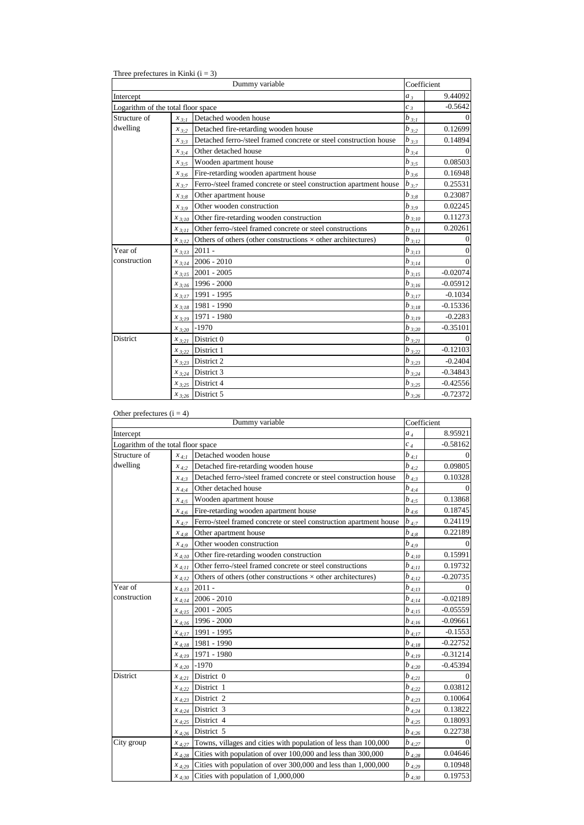Three prefectures in Kinki  $(i = 3)$ 

|                                    | Coefficient                                            |                                                                     |            |            |
|------------------------------------|--------------------------------------------------------|---------------------------------------------------------------------|------------|------------|
| Intercept                          |                                                        |                                                                     | $a_3$      | 9.44092    |
| Logarithm of the total floor space |                                                        |                                                                     | $c_3$      | $-0.5642$  |
| Structure of                       | Detached wooden house<br>$b_{3:1}$<br>$x_{3:1}$        |                                                                     |            |            |
| dwelling                           | $x_{3:2}$                                              | Detached fire-retarding wooden house                                | $b_{3;2}$  | 0.12699    |
|                                    | $x_{3:3}$                                              | Detached ferro-/steel framed concrete or steel construction house   | $b_{3;3}$  | 0.14894    |
|                                    | $x_{3:4}$                                              | Other detached house                                                | $b_{3,4}$  | $\Omega$   |
|                                    | $x_{3:5}$                                              | Wooden apartment house                                              | $b_{3:5}$  | 0.08503    |
|                                    | $x_{3:6}$                                              | Fire-retarding wooden apartment house                               | $b_{3;6}$  | 0.16948    |
|                                    | $x_{3:7}$                                              | Ferro-/steel framed concrete or steel construction apartment house  | $b_{3;7}$  | 0.25531    |
|                                    | $x_{3:8}$                                              | Other apartment house                                               | $b_{3;8}$  | 0.23087    |
|                                    | $x_{3:9}$                                              | Other wooden construction                                           | $b_{3,9}$  | 0.02245    |
|                                    | Other fire-retarding wooden construction<br>$x_{3:10}$ |                                                                     | $b_{3,10}$ | 0.11273    |
|                                    | $x_{3;11}$                                             | Other ferro-/steel framed concrete or steel constructions           | $b_{3;11}$ | 0.20261    |
|                                    | $x_{3:12}$                                             | Others of others (other constructions $\times$ other architectures) | $b_{3;12}$ | $\Omega$   |
| Year of                            | $x_{3;13}$                                             | $2011 -$                                                            | $b_{3;13}$ | $\Omega$   |
| construction                       | $x_{3;14}$                                             | $2006 - 2010$                                                       | $b_{3,14}$ | $\Omega$   |
|                                    | $x_{3;15}$                                             | $2001 - 2005$                                                       | $b_{3;15}$ | $-0.02074$ |
|                                    |                                                        | $x_{3,16}$ 1996 - 2000                                              | $b_{3;16}$ | $-0.05912$ |
|                                    |                                                        | $x_{3,17}$ 1991 - 1995                                              | $b_{3;17}$ | $-0.1034$  |
|                                    |                                                        | $x_{3,18}$ 1981 - 1990                                              | $b_{3,18}$ | $-0.15336$ |
|                                    |                                                        | $x_{3,19}$ 1971 - 1980                                              | $b_{3,19}$ | $-0.2283$  |
|                                    | $x_{3:20}$                                             | $-1970$                                                             | $b_{3;20}$ | $-0.35101$ |
| District                           | $x_{3;21}$                                             | District 0                                                          | $b_{3,21}$ |            |
|                                    | $x_{3;22}$                                             | District 1                                                          | $b_{3;22}$ | $-0.12103$ |
|                                    |                                                        | $x_{3,23}$ District 2                                               | $b_{3;23}$ | $-0.2404$  |
|                                    |                                                        | $x_{3,24}$ District 3                                               | $b_{3,24}$ | $-0.34843$ |
|                                    |                                                        | $x_{3,25}$ District 4                                               | $b_{3;25}$ | $-0.42556$ |
|                                    |                                                        | $x_{3,26}$ District 5                                               | $b_{3;26}$ | $-0.72372$ |

## Other prefectures  $(i = 4)$

|                                    | Coefficient |                                                                     |                        |            |  |  |  |
|------------------------------------|-------------|---------------------------------------------------------------------|------------------------|------------|--|--|--|
| Intercept                          |             |                                                                     |                        |            |  |  |  |
| Logarithm of the total floor space | $c_4$       | $-0.58162$                                                          |                        |            |  |  |  |
| Structure of                       | $x_{4:1}$   | Detached wooden house                                               | $b_{4;I}$              | 0          |  |  |  |
| dwelling                           | $x_{4:2}$   | Detached fire-retarding wooden house                                | $b_{4;2}$              | 0.09805    |  |  |  |
|                                    | $x_{4:3}$   | Detached ferro-/steel framed concrete or steel construction house   | $b_{4;3}$              | 0.10328    |  |  |  |
|                                    | $x_{4:4}$   | Other detached house                                                | $b_{4;4}$              | $\Omega$   |  |  |  |
|                                    | $x_{4:5}$   | Wooden apartment house                                              | $b_{4,5}$              | 0.13868    |  |  |  |
|                                    | $x_{4:6}$   | Fire-retarding wooden apartment house                               | $b_{4;6}$              | 0.18745    |  |  |  |
|                                    | $x_{4:7}$   | Ferro-/steel framed concrete or steel construction apartment house  | $b_{4;7}$              | 0.24119    |  |  |  |
|                                    | $x_{4:8}$   | Other apartment house                                               | $b_{4;\underline{8}}$  | 0.22189    |  |  |  |
|                                    | $x_{4,9}$   | Other wooden construction                                           | $b_{4,9}$              | $\Omega$   |  |  |  |
|                                    | $x_{4;10}$  | Other fire-retarding wooden construction                            | $b_{4;10}$             | 0.15991    |  |  |  |
|                                    | $x_{4:11}$  | Other ferro-/steel framed concrete or steel constructions           | $b_{4:11}$             | 0.19732    |  |  |  |
|                                    | $x_{4:12}$  | Others of others (other constructions $\times$ other architectures) | $b_{4:12}$             | $-0.20735$ |  |  |  |
| Year of                            | $x_{4:13}$  | $2011 -$                                                            | $b_{4:13}$             |            |  |  |  |
| construction                       |             | $x_{4,14}$ 2006 - 2010                                              | $b_{4;\underline{14}}$ | $-0.02189$ |  |  |  |
|                                    |             | $x_{4;15}$ 2001 - 2005                                              | $b_{4:15}$             | $-0.05559$ |  |  |  |
|                                    | $x_{4,16}$  | 1996 - 2000                                                         | $b_{4;16}$             | $-0.09661$ |  |  |  |
|                                    | $x_{4;17}$  | 1991 - 1995                                                         | $b_{4:17}$             | $-0.1553$  |  |  |  |
|                                    | $x_{4:18}$  | 1981 - 1990                                                         | $b_{4:18}$             | $-0.22752$ |  |  |  |
|                                    |             | $x_{4;19}$ 1971 - 1980                                              | $b_{4:19}$             | $-0.31214$ |  |  |  |
|                                    | $x_{4;20}$  | $-1970$                                                             | $b_{4;20}$             | $-0.45394$ |  |  |  |
| District                           | $x_{4;21}$  | District 0                                                          | $b_{4;21}$             |            |  |  |  |
|                                    |             | $x_{4,22}$ District 1                                               | $b_{4;22}$             | 0.03812    |  |  |  |
|                                    |             | $x_{4,23}$ District 2                                               | $b_{4,2,3}$            | 0.10064    |  |  |  |
|                                    |             | $x_{4,24}$ District 3                                               | $b_{4,24}$             | 0.13822    |  |  |  |
|                                    |             | $x_{4;25}$ District 4                                               | $b_{4;25}$             | 0.18093    |  |  |  |
|                                    |             | $x_{4,26}$ District 5                                               | $b_{4;26}$             | 0.22738    |  |  |  |
| City group                         | $x_{4:27}$  | Towns, villages and cities with population of less than 100,000     | $b_{4;27}$             | $\Omega$   |  |  |  |
|                                    | $x_{4,28}$  | Cities with population of over 100,000 and less than 300,000        | $b_{4;28}$             | 0.04646    |  |  |  |
|                                    | $x_{4,29}$  | Cities with population of over 300,000 and less than 1,000,000      | $b_{4,29}$             | 0.10948    |  |  |  |
|                                    |             | $x_{4,30}$ Cities with population of 1,000,000                      | $b_{4,30}$             | 0.19753    |  |  |  |